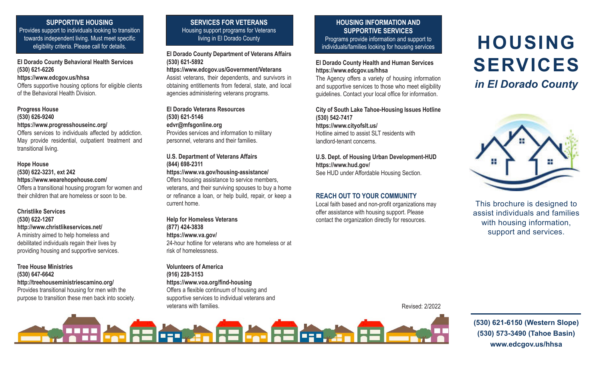# **SUPPORTIVE HOUSING**

Provides support to individuals looking to transition towards independent living. Must meet specific eligibility criteria. Please call for details.

# **El Dorado County Behavioral Health Services (530) 621-6226**

#### **https://www.edcgov.us/hhsa**

Offers supportive housing options for eligible clients of the Behavioral Health Division.

## **Progress House (530) 626-9240 https://www.progresshouseinc.org/**

Offers services to individuals affected by addiction. May provide residential, outpatient treatment and transitional living.

## **Hope House**

**(530) 622-3231, ext 242 https://www.wearehopehouse.com/** Offers a transitional housing program for women and their children that are homeless or soon to be.

# **Christlike Services**

**(530) 622-1267 http://www.christlikeservices.net/** A ministry aimed to help homeless and debilitated individuals regain their lives by providing housing and supportive services.

## **Tree House Ministries (530) 647-6642 http://treehouseministriescamino.org/** Provides transitional housing for men with the purpose to transition these men back into society.

# **SERVICES FOR VETERANS** Housing support programs for Veterans living in El Dorado County

**El Dorado County Department of Veterans Affairs (530) 621-5892**

## **https://www.edcgov.us/Government/Veterans**

Assist veterans, their dependents, and survivors in obtaining entitlements from federal, state, and local agencies administering veterans programs.

#### **El Dorado Veterans Resources (530) 621-5146 edvr@mfsgonline.org** Provides services and information to military personnel, veterans and their families.

**U.S. Department of Veterans Affairs (844) 698-2311**

**https://www.va.gov/housing-assistance/** Offers housing assistance to service members,

veterans, and their surviving spouses to buy a home or refinance a loan, or help build, repair, or keep a current home.

**Help for Homeless Veterans (877) 424-3838 https://www.va.gov/** 24-hour hotline for veterans who are homeless or at risk of homelessness.

## **Volunteers of America (916) 228-3153 https://www.voa.org/find-housing** Offers a flexible continuum of housing and supportive services to individual veterans and veterans with families.

## **HOUSING INFORMATION AND SUPPORTIVE SERVICES** Programs provide information and support to individuals/families looking for housing services

## **El Dorado County Health and Human Services https://www.edcgov.us/hhsa**

The Agency offers a variety of housing information and supportive services to those who meet eligibility guidelines. Contact your local office for information.

#### **City of South Lake Tahoe-Housing Issues Hotline (530) 542-7417 https://www.cityofslt.us/** Hotline aimed to assist SLT residents with landlord-tenant concerns.

**U.S. Dept. of Housing Urban Development-HUD https://www.hud.gov/** See HUD under Affordable Housing Section.

# **REACH OUT TO YOUR COMMUNITY**

Local faith based and non-profit organizations may offer assistance with housing support. Please contact the organization directly for resources.

# **HOUSING SERVICES**

*in El Dorado County*



This brochure is designed to assist individuals and families with housing information, support and services.

Revised: 2/2022



**(530) 621-6150 (Western Slope) (530) 573-3490 (Tahoe Basin) www.edcgov.us/hhsa**